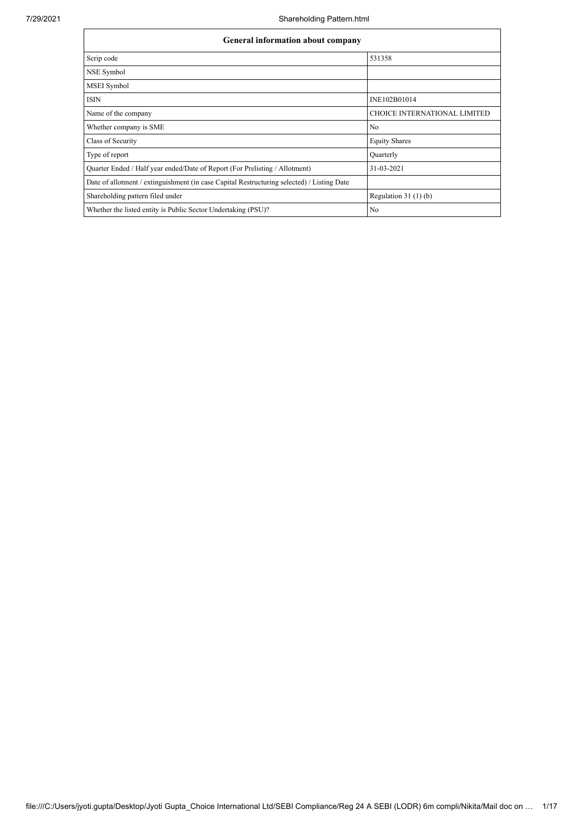| General information about company                                                          |                                     |  |  |  |  |  |  |  |
|--------------------------------------------------------------------------------------------|-------------------------------------|--|--|--|--|--|--|--|
| Scrip code                                                                                 | 531358                              |  |  |  |  |  |  |  |
| NSE Symbol                                                                                 |                                     |  |  |  |  |  |  |  |
| MSEI Symbol                                                                                |                                     |  |  |  |  |  |  |  |
| <b>ISIN</b>                                                                                | INE102B01014                        |  |  |  |  |  |  |  |
| Name of the company                                                                        | <b>CHOICE INTERNATIONAL LIMITED</b> |  |  |  |  |  |  |  |
| Whether company is SME                                                                     | No                                  |  |  |  |  |  |  |  |
| Class of Security                                                                          | <b>Equity Shares</b>                |  |  |  |  |  |  |  |
| Type of report                                                                             | Quarterly                           |  |  |  |  |  |  |  |
| Quarter Ended / Half year ended/Date of Report (For Prelisting / Allotment)                | 31-03-2021                          |  |  |  |  |  |  |  |
| Date of allotment / extinguishment (in case Capital Restructuring selected) / Listing Date |                                     |  |  |  |  |  |  |  |
| Shareholding pattern filed under                                                           | Regulation $31(1)(b)$               |  |  |  |  |  |  |  |
| Whether the listed entity is Public Sector Undertaking (PSU)?                              | No                                  |  |  |  |  |  |  |  |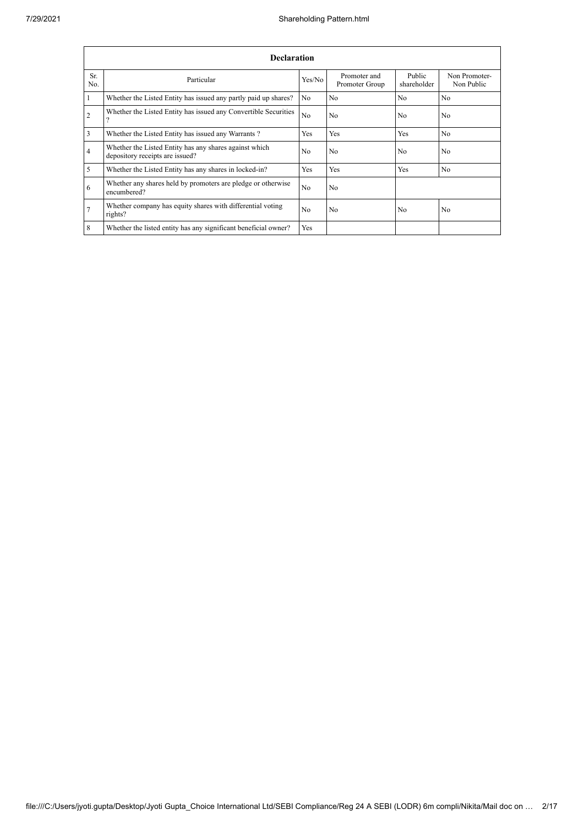|                | <b>Declaration</b>                                                                        |                |                                |                       |                             |  |  |  |  |  |  |
|----------------|-------------------------------------------------------------------------------------------|----------------|--------------------------------|-----------------------|-----------------------------|--|--|--|--|--|--|
| Sr.<br>No.     | Particular                                                                                | Yes/No         | Promoter and<br>Promoter Group | Public<br>shareholder | Non Promoter-<br>Non Public |  |  |  |  |  |  |
|                | Whether the Listed Entity has issued any partly paid up shares?                           | N <sub>o</sub> | N <sub>0</sub>                 | N <sub>o</sub>        | N <sub>o</sub>              |  |  |  |  |  |  |
| $\overline{2}$ | Whether the Listed Entity has issued any Convertible Securities<br>$\Omega$               | N <sub>0</sub> | N <sub>0</sub>                 | N <sub>0</sub>        | N <sub>0</sub>              |  |  |  |  |  |  |
| 3              | Whether the Listed Entity has issued any Warrants?                                        | Yes            | Yes                            | Yes                   | N <sub>o</sub>              |  |  |  |  |  |  |
| $\overline{4}$ | Whether the Listed Entity has any shares against which<br>depository receipts are issued? | N <sub>0</sub> | N <sub>0</sub>                 | N <sub>0</sub>        | N <sub>0</sub>              |  |  |  |  |  |  |
| 5              | Whether the Listed Entity has any shares in locked-in?                                    | Yes            | Yes                            | Yes                   | N <sub>o</sub>              |  |  |  |  |  |  |
| 6              | Whether any shares held by promoters are pledge or otherwise<br>encumbered?               | N <sub>0</sub> | N <sub>o</sub>                 |                       |                             |  |  |  |  |  |  |
| $\overline{7}$ | Whether company has equity shares with differential voting<br>rights?                     | No             | N <sub>0</sub>                 | No                    | N <sub>o</sub>              |  |  |  |  |  |  |
| 8              | Whether the listed entity has any significant beneficial owner?                           | Yes            |                                |                       |                             |  |  |  |  |  |  |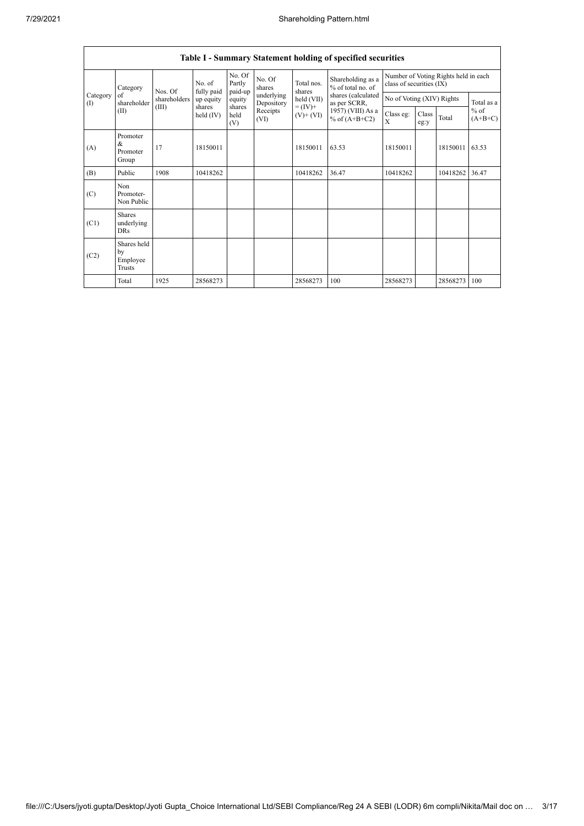|                          | Table I - Summary Statement holding of specified securities |              |                                                            |                             |                          |                              |                                        |                                                                  |               |          |                                   |  |  |
|--------------------------|-------------------------------------------------------------|--------------|------------------------------------------------------------|-----------------------------|--------------------------|------------------------------|----------------------------------------|------------------------------------------------------------------|---------------|----------|-----------------------------------|--|--|
|                          | Category                                                    | Nos. Of      | No. of<br>fully paid<br>up equity<br>shares<br>held $(IV)$ | No. Of<br>Partly<br>paid-up | No. Of<br>shares         | Total nos.<br>shares         | Shareholding as a<br>% of total no. of | Number of Voting Rights held in each<br>class of securities (IX) |               |          |                                   |  |  |
| Category<br>$($ $\Gamma$ | of<br>shareholder                                           | shareholders |                                                            | equity                      | underlying<br>Depository | held (VII)                   | shares (calculated<br>as per SCRR,     | No of Voting (XIV) Rights                                        |               |          | Total as a<br>$%$ of<br>$(A+B+C)$ |  |  |
|                          | (II)                                                        | (III)        |                                                            | shares<br>held<br>(V)       | Receipts<br>(VI)         | $= (IV) +$<br>$(V)$ + $(VI)$ | 1957) (VIII) As a<br>% of $(A+B+C2)$   | Class eg:<br>$\mathbf{X}$                                        | Class<br>eg:y | Total    |                                   |  |  |
| (A)                      | Promoter<br>&<br>Promoter<br>Group                          | 17           | 18150011                                                   |                             |                          | 18150011                     | 63.53                                  | 18150011                                                         |               | 18150011 | 63.53                             |  |  |
| (B)                      | Public                                                      | 1908         | 10418262                                                   |                             |                          | 10418262                     | 36.47                                  | 10418262                                                         |               | 10418262 | 36.47                             |  |  |
| (C)                      | Non<br>Promoter-<br>Non Public                              |              |                                                            |                             |                          |                              |                                        |                                                                  |               |          |                                   |  |  |
| (C1)                     | <b>Shares</b><br>underlying<br><b>DRs</b>                   |              |                                                            |                             |                          |                              |                                        |                                                                  |               |          |                                   |  |  |
| (C2)                     | Shares held<br>by<br>Employee<br><b>Trusts</b>              |              |                                                            |                             |                          |                              |                                        |                                                                  |               |          |                                   |  |  |
|                          | Total                                                       | 1925         | 28568273                                                   |                             |                          | 28568273                     | 100                                    | 28568273                                                         |               | 28568273 | 100                               |  |  |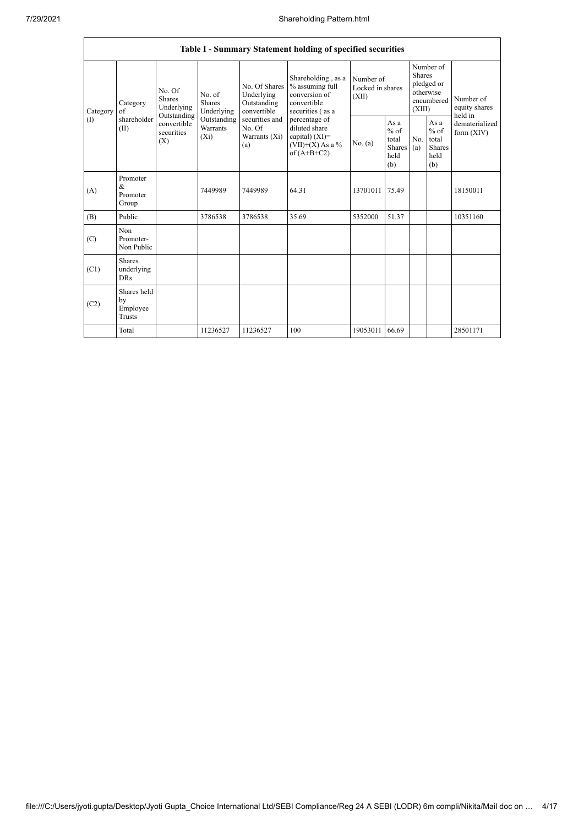|                 |                                         |                                                                                                                                     |             |                                                                                                               | Table I - Summary Statement holding of specified securities                                                                                                                             |                                        |                                                  |                                                                               |                                                         |                                       |
|-----------------|-----------------------------------------|-------------------------------------------------------------------------------------------------------------------------------------|-------------|---------------------------------------------------------------------------------------------------------------|-----------------------------------------------------------------------------------------------------------------------------------------------------------------------------------------|----------------------------------------|--------------------------------------------------|-------------------------------------------------------------------------------|---------------------------------------------------------|---------------------------------------|
| Category<br>(I) | Category<br>of<br>shareholder<br>(II)   | No. Of<br>No. of<br>Shares<br><b>Shares</b><br>Underlying<br>Outstanding<br>convertible<br>Warrants<br>securities<br>$(X_i)$<br>(X) | Underlying  | No. Of Shares<br>Underlying<br>Outstanding<br>convertible<br>securities and<br>No. Of<br>Warrants (Xi)<br>(a) | Shareholding, as a<br>% assuming full<br>conversion of<br>convertible<br>securities (as a<br>percentage of<br>diluted share<br>capital) $(XI)$ =<br>$(VII)+(X)$ As a %<br>of $(A+B+C2)$ | Number of<br>Locked in shares<br>(XII) |                                                  | Number of<br><b>Shares</b><br>pledged or<br>otherwise<br>encumbered<br>(XIII) |                                                         | Number of<br>equity shares<br>held in |
|                 |                                         |                                                                                                                                     | Outstanding |                                                                                                               |                                                                                                                                                                                         | No. (a)                                | As a<br>$%$ of<br>total<br>Shares<br>held<br>(b) | No.<br>(a)                                                                    | As a<br>$%$ of<br>total<br><b>Shares</b><br>held<br>(b) | dematerialized<br>form $(XIV)$        |
| (A)             | Promoter<br>&<br>Promoter<br>Group      |                                                                                                                                     | 7449989     | 7449989                                                                                                       | 64.31                                                                                                                                                                                   | 13701011                               | 75.49                                            |                                                                               |                                                         | 18150011                              |
| (B)             | Public                                  |                                                                                                                                     | 3786538     | 3786538                                                                                                       | 35.69                                                                                                                                                                                   | 5352000                                | 51.37                                            |                                                                               |                                                         | 10351160                              |
| (C)             | Non<br>Promoter-<br>Non Public          |                                                                                                                                     |             |                                                                                                               |                                                                                                                                                                                         |                                        |                                                  |                                                                               |                                                         |                                       |
| (C1)            | Shares<br>underlying<br><b>DRs</b>      |                                                                                                                                     |             |                                                                                                               |                                                                                                                                                                                         |                                        |                                                  |                                                                               |                                                         |                                       |
| (C2)            | Shares held<br>by<br>Employee<br>Trusts |                                                                                                                                     |             |                                                                                                               |                                                                                                                                                                                         |                                        |                                                  |                                                                               |                                                         |                                       |
|                 | Total                                   |                                                                                                                                     | 11236527    | 11236527                                                                                                      | 100                                                                                                                                                                                     | 19053011                               | 66.69                                            |                                                                               |                                                         | 28501171                              |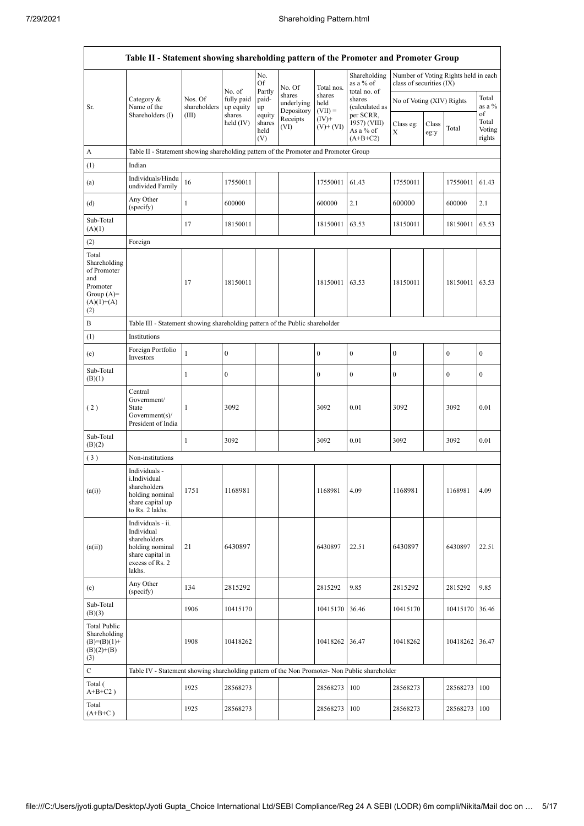|                                                                                                | Table II - Statement showing shareholding pattern of the Promoter and Promoter Group                                |                                                                              |                                   |                                 |                                    |                             |                                                       |                           |               |                                      |                           |  |  |
|------------------------------------------------------------------------------------------------|---------------------------------------------------------------------------------------------------------------------|------------------------------------------------------------------------------|-----------------------------------|---------------------------------|------------------------------------|-----------------------------|-------------------------------------------------------|---------------------------|---------------|--------------------------------------|---------------------------|--|--|
|                                                                                                |                                                                                                                     |                                                                              | No. of                            | No.<br>Of                       | No. Of                             | Total nos.                  | Shareholding<br>as a % of                             | class of securities (IX)  |               | Number of Voting Rights held in each |                           |  |  |
| Sr.                                                                                            | Category &<br>Name of the<br>Shareholders (I)                                                                       | Nos. Of<br>shareholders<br>(III)                                             | fully paid<br>up equity<br>shares | Partly<br>paid-<br>up<br>equity | shares<br>underlying<br>Depository | shares<br>held<br>$(VII) =$ | total no. of<br>shares<br>(calculated as<br>per SCRR, | No of Voting (XIV) Rights |               |                                      | Total<br>as a %<br>of     |  |  |
|                                                                                                |                                                                                                                     |                                                                              | held $(IV)$                       | shares<br>held<br>(V)           | Receipts<br>(VI)                   | $(IV)^+$<br>$(V)$ + $(VI)$  | 1957) (VIII)<br>As a % of<br>$(A+B+C2)$               | Class eg:<br>X            | Class<br>eg:y | Total                                | Total<br>Voting<br>rights |  |  |
| A                                                                                              | Table II - Statement showing shareholding pattern of the Promoter and Promoter Group                                |                                                                              |                                   |                                 |                                    |                             |                                                       |                           |               |                                      |                           |  |  |
| (1)                                                                                            | Indian                                                                                                              |                                                                              |                                   |                                 |                                    |                             |                                                       |                           |               |                                      |                           |  |  |
| (a)                                                                                            | Individuals/Hindu<br>undivided Family                                                                               | 16                                                                           | 17550011                          |                                 |                                    | 17550011                    | 61.43                                                 | 17550011                  |               | 17550011                             | 61.43                     |  |  |
| (d)                                                                                            | Any Other<br>(specify)                                                                                              | $\mathbf{1}$                                                                 | 600000                            |                                 |                                    | 600000                      | 2.1                                                   | 600000                    |               | 600000                               | 2.1                       |  |  |
| Sub-Total<br>(A)(1)                                                                            |                                                                                                                     | 17                                                                           | 18150011                          |                                 |                                    | 18150011                    | 63.53                                                 | 18150011                  |               | 18150011                             | 63.53                     |  |  |
| (2)                                                                                            | Foreign                                                                                                             |                                                                              |                                   |                                 |                                    |                             |                                                       |                           |               |                                      |                           |  |  |
| Total<br>Shareholding<br>of Promoter<br>and<br>Promoter<br>Group $(A)=$<br>$(A)(1)+(A)$<br>(2) |                                                                                                                     | 17                                                                           | 18150011                          |                                 |                                    | 18150011                    | 63.53                                                 | 18150011                  |               | 18150011                             | 63.53                     |  |  |
| B                                                                                              |                                                                                                                     | Table III - Statement showing shareholding pattern of the Public shareholder |                                   |                                 |                                    |                             |                                                       |                           |               |                                      |                           |  |  |
| (1)                                                                                            | Institutions                                                                                                        |                                                                              |                                   |                                 |                                    |                             |                                                       |                           |               |                                      |                           |  |  |
| (e)                                                                                            | Foreign Portfolio<br>Investors                                                                                      | $\mathbf{1}$                                                                 | $\boldsymbol{0}$                  |                                 |                                    | $\boldsymbol{0}$            | $\mathbf{0}$                                          | $\boldsymbol{0}$          |               | $\overline{0}$                       | 0                         |  |  |
| Sub-Total<br>(B)(1)                                                                            |                                                                                                                     | $\mathbf{1}$                                                                 | $\boldsymbol{0}$                  |                                 |                                    | $\boldsymbol{0}$            | $\mathbf{0}$                                          | $\boldsymbol{0}$          |               | 0                                    | 0                         |  |  |
| (2)                                                                                            | Central<br>Government/<br>State<br>Government(s)/<br>President of India                                             | 1                                                                            | 3092                              |                                 |                                    | 3092                        | 0.01                                                  | 3092                      |               | 3092                                 | 0.01                      |  |  |
| Sub-Total<br>(B)(2)                                                                            |                                                                                                                     | 1                                                                            | 3092                              |                                 |                                    | 3092                        | 0.01                                                  | 3092                      |               | 3092                                 | 0.01                      |  |  |
| (3)                                                                                            | Non-institutions                                                                                                    |                                                                              |                                   |                                 |                                    |                             |                                                       |                           |               |                                      |                           |  |  |
| (a(i))                                                                                         | Individuals -<br>i.Individual<br>shareholders<br>holding nominal<br>share capital up<br>to Rs. 2 lakhs.             | 1751                                                                         | 1168981                           |                                 |                                    | 1168981                     | 4.09                                                  | 1168981                   |               | 1168981                              | 4.09                      |  |  |
| (a(ii))                                                                                        | Individuals - ii.<br>Individual<br>shareholders<br>holding nominal<br>share capital in<br>excess of Rs. 2<br>lakhs. | 21                                                                           | 6430897                           |                                 |                                    | 6430897                     | 22.51                                                 | 6430897                   |               | 6430897                              | 22.51                     |  |  |
| (e)                                                                                            | Any Other<br>(specify)                                                                                              | 134                                                                          | 2815292                           |                                 |                                    | 2815292                     | 9.85                                                  | 2815292                   |               | 2815292                              | 9.85                      |  |  |
| Sub-Total<br>(B)(3)                                                                            |                                                                                                                     | 1906                                                                         | 10415170                          |                                 |                                    | 10415170                    | 36.46                                                 | 10415170                  |               | 10415170                             | 36.46                     |  |  |
| Total Public<br>Shareholding<br>$(B)= (B)(1) +$<br>$(B)(2)+(B)$<br>(3)                         |                                                                                                                     | 1908                                                                         | 10418262                          |                                 |                                    | 10418262 36.47              |                                                       | 10418262                  |               | 10418262 36.47                       |                           |  |  |
| C                                                                                              | Table IV - Statement showing shareholding pattern of the Non Promoter- Non Public shareholder                       |                                                                              |                                   |                                 |                                    |                             |                                                       |                           |               |                                      |                           |  |  |
| Total (<br>$A+B+C2$ )                                                                          |                                                                                                                     | 1925                                                                         | 28568273                          |                                 |                                    | 28568273                    | 100                                                   | 28568273                  |               | 28568273                             | 100                       |  |  |
| Total<br>$(A+B+C)$                                                                             |                                                                                                                     | 1925                                                                         | 28568273                          |                                 |                                    | 28568273                    | 100                                                   | 28568273                  |               | 28568273                             | 100                       |  |  |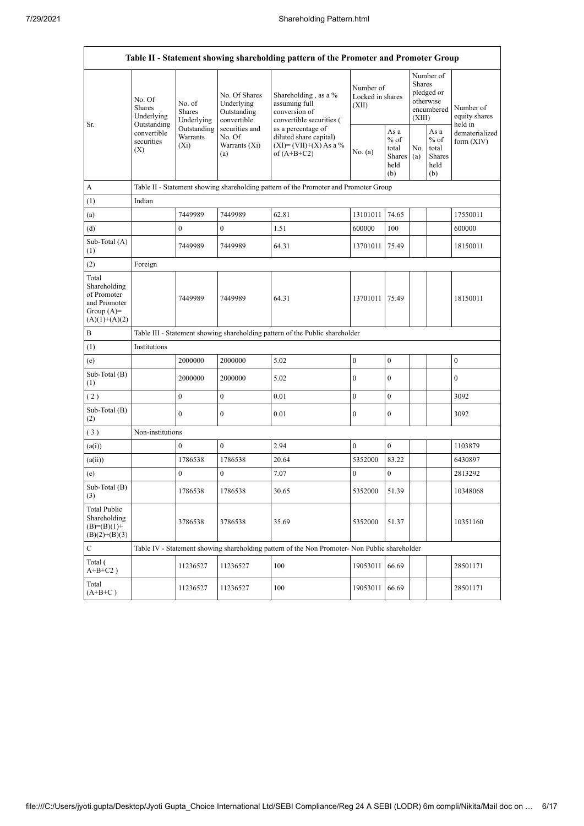|                                                                                         |                                               |                                                                              |                                                                                                               | Table II - Statement showing shareholding pattern of the Promoter and Promoter Group          |                                        |                                                  |                                                                        |                                                  |                                       |  |  |  |  |
|-----------------------------------------------------------------------------------------|-----------------------------------------------|------------------------------------------------------------------------------|---------------------------------------------------------------------------------------------------------------|-----------------------------------------------------------------------------------------------|----------------------------------------|--------------------------------------------------|------------------------------------------------------------------------|--------------------------------------------------|---------------------------------------|--|--|--|--|
| Sr.                                                                                     | No. Of<br>Shares<br>Underlying<br>Outstanding | No. of<br><b>Shares</b><br>Underlying                                        | No. Of Shares<br>Underlying<br>Outstanding<br>convertible<br>securities and<br>No. Of<br>Warrants (Xi)<br>(a) | Shareholding, as a %<br>assuming full<br>conversion of<br>convertible securities (            | Number of<br>Locked in shares<br>(XII) |                                                  | Number of<br>Shares<br>pledged or<br>otherwise<br>encumbered<br>(XIII) |                                                  | Number of<br>equity shares<br>held in |  |  |  |  |
|                                                                                         | convertible<br>securities<br>(X)              | Outstanding<br>Warrants<br>$(X_i)$                                           |                                                                                                               | as a percentage of<br>diluted share capital)<br>$(XI) = (VII)+(X) As a %$<br>of $(A+B+C2)$    | No. (a)                                | As a<br>$%$ of<br>total<br>Shares<br>held<br>(b) | No.<br>(a)                                                             | As a<br>$%$ of<br>total<br>Shares<br>held<br>(b) | dematerialized<br>form $(XIV)$        |  |  |  |  |
| A                                                                                       |                                               |                                                                              |                                                                                                               | Table II - Statement showing shareholding pattern of the Promoter and Promoter Group          |                                        |                                                  |                                                                        |                                                  |                                       |  |  |  |  |
| (1)                                                                                     | Indian                                        |                                                                              |                                                                                                               |                                                                                               |                                        |                                                  |                                                                        |                                                  |                                       |  |  |  |  |
| (a)                                                                                     |                                               | 7449989                                                                      | 7449989                                                                                                       | 62.81                                                                                         | 13101011                               | 74.65                                            |                                                                        |                                                  | 17550011                              |  |  |  |  |
| (d)                                                                                     |                                               | $\mathbf{0}$                                                                 | $\boldsymbol{0}$                                                                                              | 1.51                                                                                          | 600000                                 | 100                                              |                                                                        |                                                  | 600000                                |  |  |  |  |
| Sub-Total (A)<br>(1)                                                                    |                                               | 7449989                                                                      | 7449989                                                                                                       | 64.31                                                                                         | 13701011 75.49                         |                                                  |                                                                        |                                                  | 18150011                              |  |  |  |  |
| (2)                                                                                     | Foreign                                       |                                                                              |                                                                                                               |                                                                                               |                                        |                                                  |                                                                        |                                                  |                                       |  |  |  |  |
| Total<br>Shareholding<br>of Promoter<br>and Promoter<br>Group $(A)=$<br>$(A)(1)+(A)(2)$ |                                               | 7449989                                                                      | 7449989                                                                                                       | 64.31                                                                                         | 13701011 75.49                         |                                                  |                                                                        |                                                  | 18150011                              |  |  |  |  |
| B                                                                                       |                                               | Table III - Statement showing shareholding pattern of the Public shareholder |                                                                                                               |                                                                                               |                                        |                                                  |                                                                        |                                                  |                                       |  |  |  |  |
| (1)                                                                                     | Institutions                                  |                                                                              |                                                                                                               |                                                                                               |                                        |                                                  |                                                                        |                                                  |                                       |  |  |  |  |
| (e)                                                                                     |                                               | 2000000                                                                      | 2000000                                                                                                       | 5.02                                                                                          | $\boldsymbol{0}$                       | $\boldsymbol{0}$                                 |                                                                        |                                                  | $\mathbf{0}$                          |  |  |  |  |
| Sub-Total (B)<br>(1)                                                                    |                                               | 2000000                                                                      | 2000000                                                                                                       | 5.02                                                                                          | $\boldsymbol{0}$                       | $\mathbf{0}$                                     |                                                                        |                                                  | $\mathbf{0}$                          |  |  |  |  |
| (2)                                                                                     |                                               | $\boldsymbol{0}$                                                             | $\boldsymbol{0}$                                                                                              | 0.01                                                                                          | $\boldsymbol{0}$                       | $\mathbf{0}$                                     |                                                                        |                                                  | 3092                                  |  |  |  |  |
| Sub-Total (B)<br>(2)                                                                    |                                               | $\mathbf{0}$                                                                 | 0                                                                                                             | 0.01                                                                                          | $\boldsymbol{0}$                       | $\boldsymbol{0}$                                 |                                                                        |                                                  | 3092                                  |  |  |  |  |
| (3)                                                                                     | Non-institutions                              |                                                                              |                                                                                                               |                                                                                               |                                        |                                                  |                                                                        |                                                  |                                       |  |  |  |  |
| (a(i))                                                                                  |                                               | $\mathbf{0}$                                                                 | $\boldsymbol{0}$                                                                                              | 2.94                                                                                          | $\boldsymbol{0}$                       | $\boldsymbol{0}$                                 |                                                                        |                                                  | 1103879                               |  |  |  |  |
| (a(ii))                                                                                 |                                               | 1786538                                                                      | 1786538                                                                                                       | 20.64                                                                                         | 5352000                                | 83.22                                            |                                                                        |                                                  | 6430897                               |  |  |  |  |
| (e)                                                                                     |                                               | $\bf{0}$                                                                     | 0                                                                                                             | 7.07                                                                                          | $\boldsymbol{0}$                       | $\boldsymbol{0}$                                 |                                                                        |                                                  | 2813292                               |  |  |  |  |
| Sub-Total (B)<br>(3)                                                                    |                                               | 1786538                                                                      | 1786538                                                                                                       | 30.65                                                                                         | 5352000                                | 51.39                                            |                                                                        |                                                  | 10348068                              |  |  |  |  |
| <b>Total Public</b><br>Shareholding<br>$(B)=(B)(1)+$<br>$(B)(2)+(B)(3)$                 |                                               | 3786538                                                                      | 3786538                                                                                                       | 35.69                                                                                         | 5352000                                | 51.37                                            |                                                                        |                                                  | 10351160                              |  |  |  |  |
| $\mathbf C$                                                                             |                                               |                                                                              |                                                                                                               | Table IV - Statement showing shareholding pattern of the Non Promoter- Non Public shareholder |                                        |                                                  |                                                                        |                                                  |                                       |  |  |  |  |
| Total (<br>$A+B+C2$ )                                                                   |                                               | 11236527                                                                     | 11236527                                                                                                      | 100                                                                                           | 19053011                               | 66.69                                            |                                                                        |                                                  | 28501171                              |  |  |  |  |
| Total<br>$(A+B+C)$                                                                      |                                               | 11236527                                                                     | 11236527                                                                                                      | 100                                                                                           | 19053011 66.69                         |                                                  |                                                                        |                                                  | 28501171                              |  |  |  |  |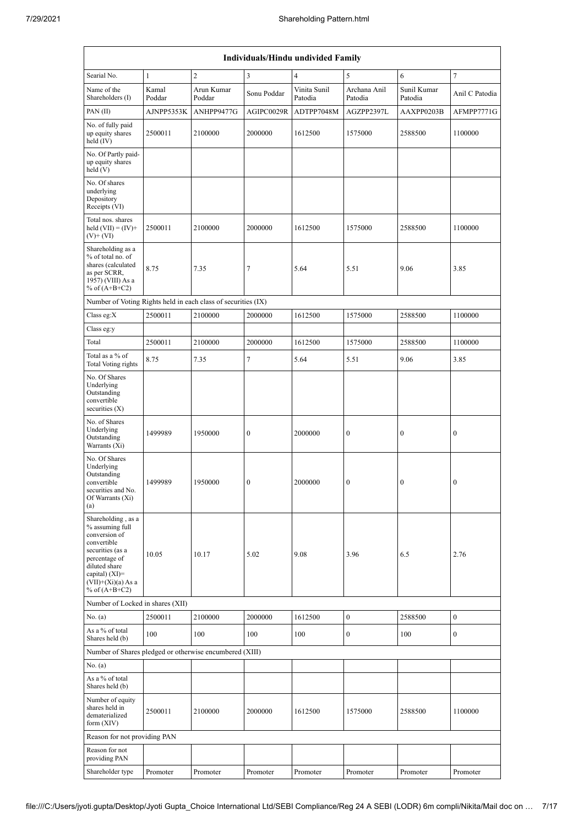| Individuals/Hindu undivided Family                                                                                                                                                       |                 |                      |                  |                         |                         |                        |                  |  |  |  |  |
|------------------------------------------------------------------------------------------------------------------------------------------------------------------------------------------|-----------------|----------------------|------------------|-------------------------|-------------------------|------------------------|------------------|--|--|--|--|
| Searial No.                                                                                                                                                                              | $\mathbf{1}$    | $\overline{c}$       | 3                | $\overline{4}$          | 5                       | 6                      | $\tau$           |  |  |  |  |
| Name of the<br>Shareholders (I)                                                                                                                                                          | Kamal<br>Poddar | Arun Kumar<br>Poddar | Sonu Poddar      | Vinita Sunil<br>Patodia | Archana Anil<br>Patodia | Sunil Kumar<br>Patodia | Anil C Patodia   |  |  |  |  |
| PAN(II)                                                                                                                                                                                  | AJNPP5353K      | ANHPP9477G           | AGIPC0029R       | ADTPP7048M              | AGZPP2397L              | AAXPP0203B             | AFMPP7771G       |  |  |  |  |
| No. of fully paid<br>up equity shares<br>held (IV)                                                                                                                                       | 2500011         | 2100000              | 2000000          | 1612500                 | 1575000                 | 2588500                | 1100000          |  |  |  |  |
| No. Of Partly paid-<br>up equity shares<br>held (V)                                                                                                                                      |                 |                      |                  |                         |                         |                        |                  |  |  |  |  |
| No. Of shares<br>underlying<br>Depository<br>Receipts (VI)                                                                                                                               |                 |                      |                  |                         |                         |                        |                  |  |  |  |  |
| Total nos. shares<br>held $(VII) = (IV) +$<br>$(V)$ + $(VI)$                                                                                                                             | 2500011         | 2100000              | 2000000          | 1612500                 | 1575000                 | 2588500                | 1100000          |  |  |  |  |
| Shareholding as a<br>% of total no. of<br>shares (calculated<br>as per SCRR,<br>1957) (VIII) As a<br>% of $(A+B+C2)$                                                                     | 8.75            | 7.35                 | 7                | 5.64                    | 5.51                    | 9.06                   | 3.85             |  |  |  |  |
| Number of Voting Rights held in each class of securities (IX)                                                                                                                            |                 |                      |                  |                         |                         |                        |                  |  |  |  |  |
| Class eg:X                                                                                                                                                                               | 2500011         | 2100000              | 2000000          | 1612500                 | 1575000                 | 2588500                | 1100000          |  |  |  |  |
| Class eg:y                                                                                                                                                                               |                 |                      |                  |                         |                         |                        |                  |  |  |  |  |
| Total                                                                                                                                                                                    | 2500011         | 2100000              | 2000000          | 1612500                 | 1575000                 | 2588500                | 1100000          |  |  |  |  |
| Total as a % of<br>Total Voting rights                                                                                                                                                   | 8.75            | 7.35                 | $\tau$           | 5.64                    | 5.51                    | 9.06                   | 3.85             |  |  |  |  |
| No. Of Shares<br>Underlying<br>Outstanding<br>convertible<br>securities $(X)$                                                                                                            |                 |                      |                  |                         |                         |                        |                  |  |  |  |  |
| No. of Shares<br>Underlying<br>Outstanding<br>Warrants (Xi)                                                                                                                              | 1499989         | 1950000              | $\boldsymbol{0}$ | 2000000                 | $\boldsymbol{0}$        | $\boldsymbol{0}$       | 0                |  |  |  |  |
| No. Of Shares<br>Underlying<br>Outstanding<br>convertible<br>securities and No.<br>Of Warrants (Xi)<br>(a)                                                                               | 1499989         | 1950000              | $\mathbf{0}$     | 2000000                 | $\overline{0}$          | $\mathbf{0}$           | $\mathbf{0}$     |  |  |  |  |
| Shareholding, as a<br>% assuming full<br>conversion of<br>convertible<br>securities (as a<br>percentage of<br>diluted share<br>capital) (XI)=<br>$(VII)+(Xi)(a)$ As a<br>% of $(A+B+C2)$ | 10.05           | 10.17                | 5.02             | 9.08                    | 3.96                    | 6.5                    | 2.76             |  |  |  |  |
| Number of Locked in shares (XII)                                                                                                                                                         |                 |                      |                  |                         |                         |                        |                  |  |  |  |  |
| No. (a)                                                                                                                                                                                  | 2500011         | 2100000              | 2000000          | 1612500                 | $\boldsymbol{0}$        | 2588500                | $\boldsymbol{0}$ |  |  |  |  |
| As a % of total<br>Shares held (b)                                                                                                                                                       | 100             | 100                  | 100              | 100                     | $\boldsymbol{0}$        | 100                    | $\boldsymbol{0}$ |  |  |  |  |
| Number of Shares pledged or otherwise encumbered (XIII)                                                                                                                                  |                 |                      |                  |                         |                         |                        |                  |  |  |  |  |
| No. (a)<br>As a % of total<br>Shares held (b)                                                                                                                                            |                 |                      |                  |                         |                         |                        |                  |  |  |  |  |
| Number of equity<br>shares held in<br>dematerialized<br>form $(XIV)$                                                                                                                     | 2500011         | 2100000              | 2000000          | 1612500                 | 1575000                 | 2588500                | 1100000          |  |  |  |  |
| Reason for not providing PAN                                                                                                                                                             |                 |                      |                  |                         |                         |                        |                  |  |  |  |  |
| Reason for not<br>providing PAN                                                                                                                                                          |                 |                      |                  |                         |                         |                        |                  |  |  |  |  |
| Shareholder type                                                                                                                                                                         | Promoter        | Promoter             | Promoter         | Promoter                | Promoter                | Promoter               | Promoter         |  |  |  |  |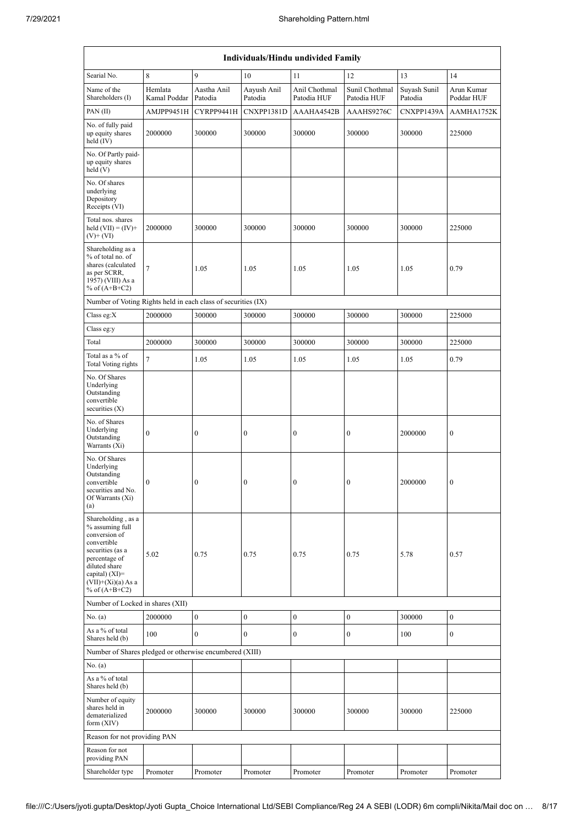| Individuals/Hindu undivided Family                                                                                                                                                       |                         |                        |                        |                              |                               |                         |                          |  |  |  |  |
|------------------------------------------------------------------------------------------------------------------------------------------------------------------------------------------|-------------------------|------------------------|------------------------|------------------------------|-------------------------------|-------------------------|--------------------------|--|--|--|--|
| Searial No.                                                                                                                                                                              | 8                       | 9                      | 10                     | 11                           | 12                            | 13                      | 14                       |  |  |  |  |
| Name of the<br>Shareholders (I)                                                                                                                                                          | Hemlata<br>Kamal Poddar | Aastha Anil<br>Patodia | Aayush Anil<br>Patodia | Anil Chothmal<br>Patodia HUF | Sunil Chothmal<br>Patodia HUF | Suyash Sunil<br>Patodia | Arun Kumar<br>Poddar HUF |  |  |  |  |
| PAN(II)                                                                                                                                                                                  | AMJPP9451H              | CYRPP9441H             | CNXPP1381D             | AAAHA4542B                   | AAAHS9276C                    | CNXPP1439A              | AAMHA1752K               |  |  |  |  |
| No. of fully paid<br>up equity shares<br>held (IV)                                                                                                                                       | 2000000                 | 300000                 | 300000                 | 300000                       | 300000                        | 300000                  | 225000                   |  |  |  |  |
| No. Of Partly paid-<br>up equity shares<br>held (V)                                                                                                                                      |                         |                        |                        |                              |                               |                         |                          |  |  |  |  |
| No. Of shares<br>underlying<br>Depository<br>Receipts (VI)                                                                                                                               |                         |                        |                        |                              |                               |                         |                          |  |  |  |  |
| Total nos. shares<br>held $(VII) = (IV) +$<br>$(V)$ + $(VI)$                                                                                                                             | 2000000                 | 300000                 | 300000                 | 300000                       | 300000                        | 300000                  | 225000                   |  |  |  |  |
| Shareholding as a<br>% of total no. of<br>shares (calculated<br>as per SCRR,<br>1957) (VIII) As a<br>% of $(A+B+C2)$                                                                     | $\tau$                  | 1.05                   | 1.05                   | 1.05                         | 1.05                          | 1.05                    | 0.79                     |  |  |  |  |
| Number of Voting Rights held in each class of securities (IX)                                                                                                                            |                         |                        |                        |                              |                               |                         |                          |  |  |  |  |
| Class eg: $X$                                                                                                                                                                            | 2000000                 | 300000                 | 300000                 | 300000                       | 300000                        | 300000                  | 225000                   |  |  |  |  |
| Class eg:y                                                                                                                                                                               |                         |                        |                        |                              |                               |                         |                          |  |  |  |  |
| Total                                                                                                                                                                                    | 2000000                 | 300000                 | 300000                 | 300000                       | 300000                        | 300000                  | 225000                   |  |  |  |  |
| Total as a % of<br>Total Voting rights                                                                                                                                                   | $\overline{7}$          | 1.05                   | 1.05                   | 1.05                         | 1.05                          | 1.05                    | 0.79                     |  |  |  |  |
| No. Of Shares<br>Underlying<br>Outstanding<br>convertible<br>securities $(X)$                                                                                                            |                         |                        |                        |                              |                               |                         |                          |  |  |  |  |
| No. of Shares<br>Underlying<br>Outstanding<br>Warrants (Xi)                                                                                                                              | $\boldsymbol{0}$        | $\boldsymbol{0}$       | $\boldsymbol{0}$       | $\bf{0}$                     | $\boldsymbol{0}$              | 2000000                 | $\boldsymbol{0}$         |  |  |  |  |
| No. Of Shares<br>Underlying<br>Outstanding<br>convertible<br>securities and No.<br>Of Warrants (Xi)<br>(a)                                                                               | $\mathbf{0}$            | $\mathbf{0}$           | $\mathbf{0}$           | $\mathbf{0}$                 | $\mathbf{0}$                  | 2000000                 | $\overline{0}$           |  |  |  |  |
| Shareholding, as a<br>% assuming full<br>conversion of<br>convertible<br>securities (as a<br>percentage of<br>diluted share<br>capital) (XI)=<br>$(VII)+(Xi)(a) As a$<br>% of $(A+B+C2)$ | 5.02                    | 0.75                   | 0.75                   | 0.75                         | 0.75                          | 5.78                    | 0.57                     |  |  |  |  |
| Number of Locked in shares (XII)                                                                                                                                                         |                         |                        |                        |                              |                               |                         |                          |  |  |  |  |
| No. (a)                                                                                                                                                                                  | 2000000                 | $\boldsymbol{0}$       | $\boldsymbol{0}$       | $\boldsymbol{0}$             | $\boldsymbol{0}$              | 300000                  | $\boldsymbol{0}$         |  |  |  |  |
| As a % of total<br>Shares held (b)                                                                                                                                                       | 100                     | $\mathbf{0}$           | $\mathbf{0}$           | $\mathbf{0}$                 | $\boldsymbol{0}$              | 100                     | $\overline{0}$           |  |  |  |  |
| Number of Shares pledged or otherwise encumbered (XIII)                                                                                                                                  |                         |                        |                        |                              |                               |                         |                          |  |  |  |  |
| No. (a)<br>As a % of total<br>Shares held (b)                                                                                                                                            |                         |                        |                        |                              |                               |                         |                          |  |  |  |  |
| Number of equity<br>shares held in<br>dematerialized<br>form $(XIV)$                                                                                                                     | 2000000                 | 300000                 | 300000                 | 300000                       | 300000                        | 300000                  | 225000                   |  |  |  |  |
| Reason for not providing PAN                                                                                                                                                             |                         |                        |                        |                              |                               |                         |                          |  |  |  |  |
| Reason for not<br>providing PAN                                                                                                                                                          |                         |                        |                        |                              |                               |                         |                          |  |  |  |  |
| Shareholder type                                                                                                                                                                         | Promoter                | Promoter               | Promoter               | Promoter                     | Promoter                      | Promoter                | Promoter                 |  |  |  |  |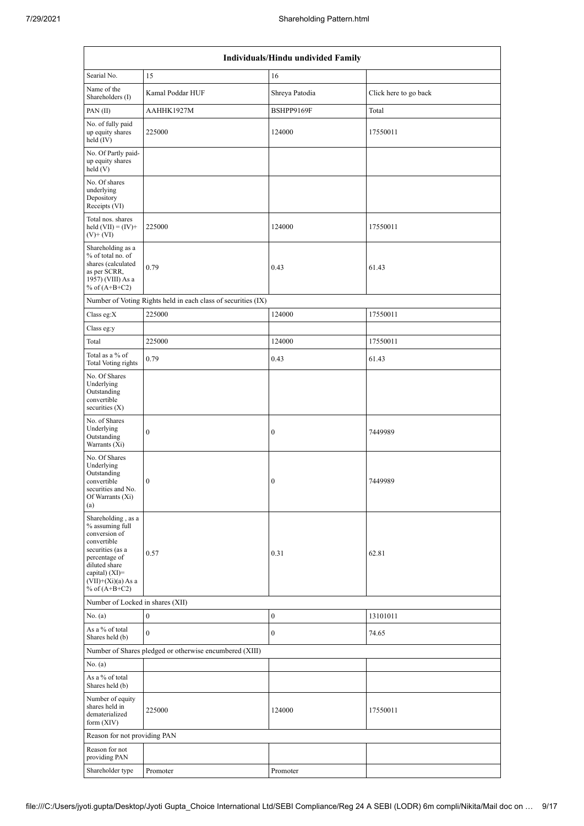| Individuals/Hindu undivided Family                                                                                                                                                         |                                                               |                  |                       |  |  |  |  |  |  |
|--------------------------------------------------------------------------------------------------------------------------------------------------------------------------------------------|---------------------------------------------------------------|------------------|-----------------------|--|--|--|--|--|--|
| Searial No.                                                                                                                                                                                | 15                                                            | 16               |                       |  |  |  |  |  |  |
| Name of the<br>Shareholders (I)                                                                                                                                                            | Kamal Poddar HUF                                              | Shreya Patodia   | Click here to go back |  |  |  |  |  |  |
| PAN(II)                                                                                                                                                                                    | AAHHK1927M                                                    | BSHPP9169F       | Total                 |  |  |  |  |  |  |
| No. of fully paid<br>up equity shares<br>held $(IV)$                                                                                                                                       | 225000                                                        | 124000           | 17550011              |  |  |  |  |  |  |
| No. Of Partly paid-<br>up equity shares<br>held(V)                                                                                                                                         |                                                               |                  |                       |  |  |  |  |  |  |
| No. Of shares<br>underlying<br>Depository<br>Receipts (VI)                                                                                                                                 |                                                               |                  |                       |  |  |  |  |  |  |
| Total nos. shares<br>held $(VII) = (IV) +$<br>$(V)$ + $(VI)$                                                                                                                               | 225000                                                        | 124000           | 17550011              |  |  |  |  |  |  |
| Shareholding as a                                                                                                                                                                          |                                                               |                  |                       |  |  |  |  |  |  |
| % of total no. of<br>shares (calculated<br>as per SCRR,<br>1957) (VIII) As a<br>% of $(A+B+C2)$                                                                                            | 0.79                                                          | 0.43             | 61.43                 |  |  |  |  |  |  |
|                                                                                                                                                                                            | Number of Voting Rights held in each class of securities (IX) |                  |                       |  |  |  |  |  |  |
| Class eg:X                                                                                                                                                                                 | 225000                                                        | 124000           | 17550011              |  |  |  |  |  |  |
| Class eg:y                                                                                                                                                                                 |                                                               |                  |                       |  |  |  |  |  |  |
| Total                                                                                                                                                                                      | 225000                                                        | 124000           | 17550011              |  |  |  |  |  |  |
| Total as a % of<br><b>Total Voting rights</b>                                                                                                                                              | 0.79                                                          | 0.43             | 61.43                 |  |  |  |  |  |  |
| No. Of Shares<br>Underlying<br>Outstanding<br>convertible<br>securities $(X)$                                                                                                              |                                                               |                  |                       |  |  |  |  |  |  |
| No. of Shares<br>Underlying<br>Outstanding<br>Warrants $(X_i)$                                                                                                                             | $\boldsymbol{0}$                                              | $\boldsymbol{0}$ | 7449989               |  |  |  |  |  |  |
| No. Of Shares<br>Underlying<br>Outstanding<br>convertible<br>securities and No.<br>Of Warrants (Xi)<br>(a)                                                                                 | $\boldsymbol{0}$                                              | $\bf{0}$         | 7449989               |  |  |  |  |  |  |
| Shareholding, as a<br>% assuming full<br>conversion of<br>convertible<br>securities (as a<br>percentage of<br>diluted share<br>capital) $(XI)=$<br>$(VII)+(Xi)(a) As a$<br>% of $(A+B+C2)$ | 0.57                                                          | 0.31             | 62.81                 |  |  |  |  |  |  |
| Number of Locked in shares (XII)                                                                                                                                                           |                                                               |                  |                       |  |  |  |  |  |  |
| No. (a)                                                                                                                                                                                    | $\boldsymbol{0}$                                              | $\boldsymbol{0}$ | 13101011              |  |  |  |  |  |  |
| As a % of total<br>Shares held (b)                                                                                                                                                         | $\mathbf{0}$                                                  | $\bf{0}$         | 74.65                 |  |  |  |  |  |  |
|                                                                                                                                                                                            | Number of Shares pledged or otherwise encumbered (XIII)       |                  |                       |  |  |  |  |  |  |
| No. (a)                                                                                                                                                                                    |                                                               |                  |                       |  |  |  |  |  |  |
| As a % of total<br>Shares held (b)                                                                                                                                                         |                                                               |                  |                       |  |  |  |  |  |  |
| Number of equity<br>shares held in<br>dematerialized<br>form $(XIV)$                                                                                                                       | 225000                                                        | 124000           | 17550011              |  |  |  |  |  |  |
| Reason for not providing PAN                                                                                                                                                               |                                                               |                  |                       |  |  |  |  |  |  |
| Reason for not<br>providing PAN                                                                                                                                                            |                                                               |                  |                       |  |  |  |  |  |  |
| Shareholder type                                                                                                                                                                           | Promoter                                                      | Promoter         |                       |  |  |  |  |  |  |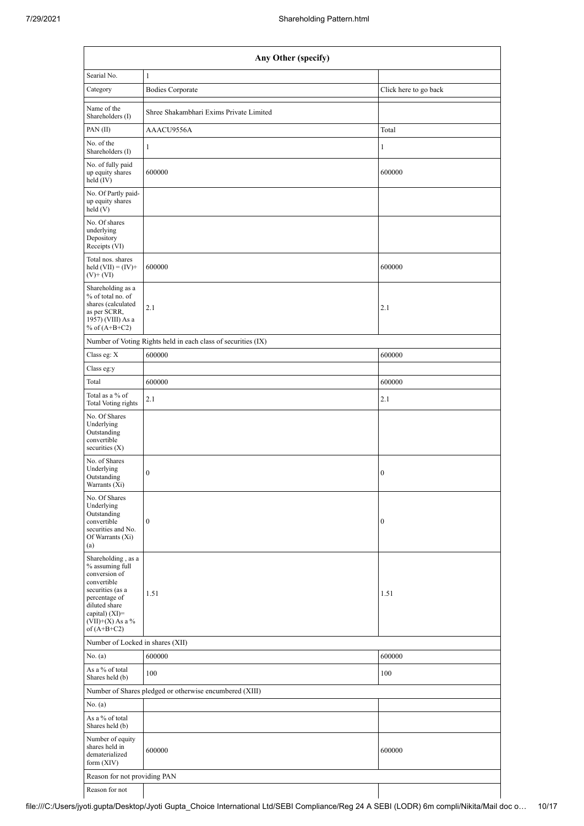|                                                                                                                                                                                      | Any Other (specify)                                           |                       |  |  |  |  |  |  |  |  |  |
|--------------------------------------------------------------------------------------------------------------------------------------------------------------------------------------|---------------------------------------------------------------|-----------------------|--|--|--|--|--|--|--|--|--|
| Searial No.                                                                                                                                                                          | $\mathbf{1}$                                                  |                       |  |  |  |  |  |  |  |  |  |
| Category                                                                                                                                                                             | <b>Bodies Corporate</b>                                       | Click here to go back |  |  |  |  |  |  |  |  |  |
| Name of the<br>Shareholders (I)                                                                                                                                                      | Shree Shakambhari Exims Private Limited                       |                       |  |  |  |  |  |  |  |  |  |
| PAN(II)                                                                                                                                                                              | AAACU9556A                                                    | Total                 |  |  |  |  |  |  |  |  |  |
| No. of the<br>Shareholders (I)                                                                                                                                                       | 1                                                             | 1                     |  |  |  |  |  |  |  |  |  |
| No. of fully paid<br>up equity shares<br>held (IV)                                                                                                                                   | 600000                                                        | 600000                |  |  |  |  |  |  |  |  |  |
| No. Of Partly paid-<br>up equity shares<br>held(V)                                                                                                                                   |                                                               |                       |  |  |  |  |  |  |  |  |  |
| No. Of shares<br>underlying<br>Depository<br>Receipts (VI)                                                                                                                           |                                                               |                       |  |  |  |  |  |  |  |  |  |
| Total nos. shares<br>held $(VII) = (IV) +$<br>$(V)$ + $(VI)$                                                                                                                         | 600000                                                        | 600000                |  |  |  |  |  |  |  |  |  |
| Shareholding as a<br>% of total no. of<br>shares (calculated<br>as per SCRR,<br>1957) (VIII) As a<br>% of $(A+B+C2)$                                                                 | 2.1                                                           | 2.1                   |  |  |  |  |  |  |  |  |  |
|                                                                                                                                                                                      | Number of Voting Rights held in each class of securities (IX) |                       |  |  |  |  |  |  |  |  |  |
| Class eg: X                                                                                                                                                                          | 600000                                                        | 600000                |  |  |  |  |  |  |  |  |  |
| Class eg:y                                                                                                                                                                           |                                                               |                       |  |  |  |  |  |  |  |  |  |
| Total                                                                                                                                                                                | 600000                                                        | 600000                |  |  |  |  |  |  |  |  |  |
| Total as a % of<br>Total Voting rights                                                                                                                                               | 2.1                                                           | 2.1                   |  |  |  |  |  |  |  |  |  |
| No. Of Shares<br>Underlying<br>Outstanding<br>convertible<br>securities $(X)$                                                                                                        |                                                               |                       |  |  |  |  |  |  |  |  |  |
| No. of Shares<br>Underlying<br>Outstanding<br>Warrants (Xi)                                                                                                                          | $\boldsymbol{0}$                                              | $\boldsymbol{0}$      |  |  |  |  |  |  |  |  |  |
| No. Of Shares<br>Underlying<br>Outstanding<br>convertible<br>securities and No.<br>Of Warrants (Xi)<br>(a)                                                                           | $\boldsymbol{0}$                                              | $\boldsymbol{0}$      |  |  |  |  |  |  |  |  |  |
| Shareholding, as a<br>% assuming full<br>conversion of<br>convertible<br>securities (as a<br>percentage of<br>diluted share<br>capital) (XI)=<br>$(VII)+(X)$ As a %<br>of $(A+B+C2)$ | 1.51                                                          | 1.51                  |  |  |  |  |  |  |  |  |  |
| Number of Locked in shares (XII)                                                                                                                                                     |                                                               |                       |  |  |  |  |  |  |  |  |  |
| No. (a)                                                                                                                                                                              | 600000                                                        | 600000                |  |  |  |  |  |  |  |  |  |
| As a % of total<br>Shares held (b)                                                                                                                                                   | 100                                                           | 100                   |  |  |  |  |  |  |  |  |  |
|                                                                                                                                                                                      | Number of Shares pledged or otherwise encumbered (XIII)       |                       |  |  |  |  |  |  |  |  |  |
| No. (a)                                                                                                                                                                              |                                                               |                       |  |  |  |  |  |  |  |  |  |
| As a % of total<br>Shares held (b)                                                                                                                                                   |                                                               |                       |  |  |  |  |  |  |  |  |  |
| Number of equity<br>shares held in<br>dematerialized<br>form (XIV)                                                                                                                   | 600000                                                        | 600000                |  |  |  |  |  |  |  |  |  |
| Reason for not providing PAN                                                                                                                                                         |                                                               |                       |  |  |  |  |  |  |  |  |  |
| Reason for not                                                                                                                                                                       |                                                               |                       |  |  |  |  |  |  |  |  |  |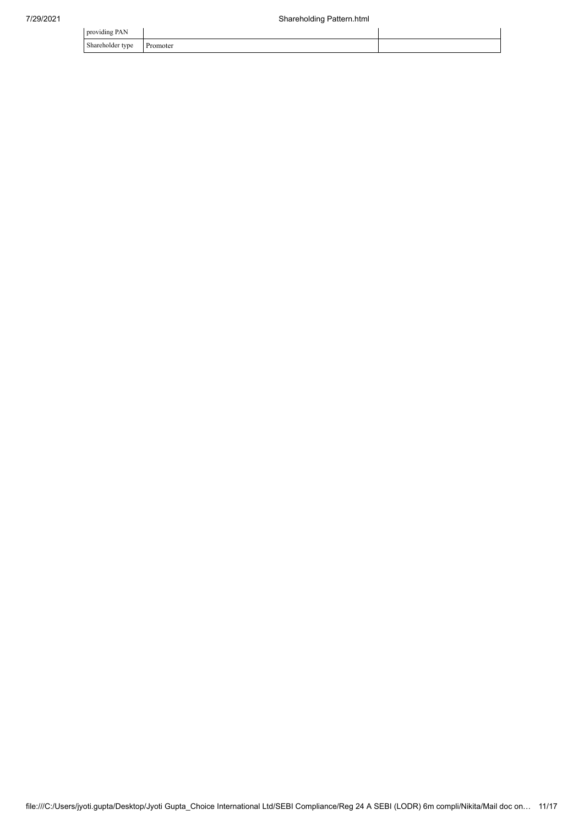| providing PAN                |          |  |
|------------------------------|----------|--|
| Shareholder type<br>$\sim$ 1 | Promoter |  |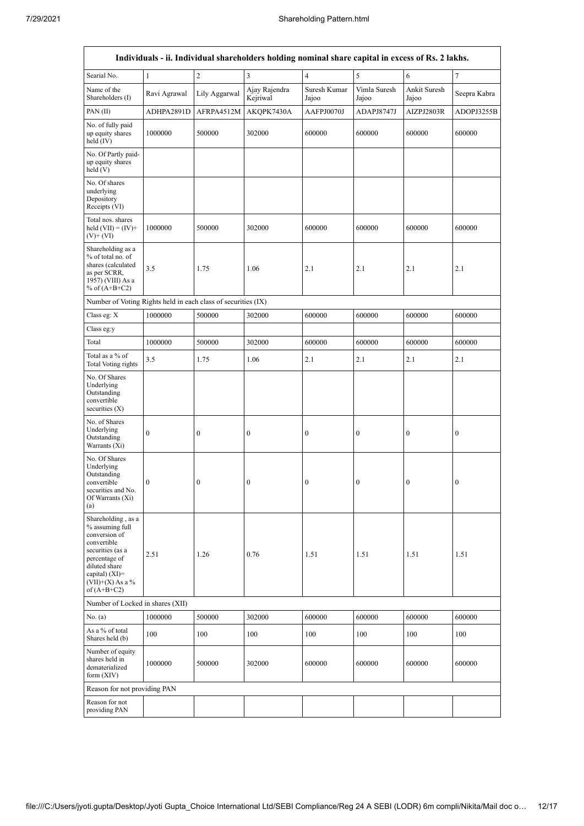| Individuals - ii. Individual shareholders holding nominal share capital in excess of Rs. 2 lakhs.                                                                                      |                  |                  |                           |                         |                       |                       |                  |  |  |  |  |
|----------------------------------------------------------------------------------------------------------------------------------------------------------------------------------------|------------------|------------------|---------------------------|-------------------------|-----------------------|-----------------------|------------------|--|--|--|--|
| Searial No.                                                                                                                                                                            | $\mathbf{1}$     | $\overline{c}$   | $\overline{3}$            | $\overline{\mathbf{4}}$ | 5                     | 6                     | $\boldsymbol{7}$ |  |  |  |  |
| Name of the<br>Shareholders (I)                                                                                                                                                        | Ravi Agrawal     | Lily Aggarwal    | Ajay Rajendra<br>Kejriwal | Suresh Kumar<br>Jajoo   | Vimla Suresh<br>Jajoo | Ankit Suresh<br>Jajoo | Seepra Kabra     |  |  |  |  |
| PAN(II)                                                                                                                                                                                | ADHPA2891D       | AFRPA4512M       | AKOPK7430A                | AAFPJ0070J              | ADAPJ8747J            | AIZPJ2803R            | ADOPJ3255B       |  |  |  |  |
| No. of fully paid<br>up equity shares<br>held (IV)                                                                                                                                     | 1000000          | 500000           | 302000                    | 600000                  | 600000                | 600000                | 600000           |  |  |  |  |
| No. Of Partly paid-<br>up equity shares<br>held(V)                                                                                                                                     |                  |                  |                           |                         |                       |                       |                  |  |  |  |  |
| No. Of shares<br>underlying<br>Depository<br>Receipts (VI)                                                                                                                             |                  |                  |                           |                         |                       |                       |                  |  |  |  |  |
| Total nos. shares<br>held $(VII) = (IV) +$<br>$(V)$ + $(V)$                                                                                                                            | 1000000          | 500000           | 302000                    | 600000                  | 600000                | 600000                | 600000           |  |  |  |  |
| Shareholding as a<br>% of total no. of<br>shares (calculated<br>as per SCRR,<br>1957) (VIII) As a<br>% of $(A+B+C2)$                                                                   | 3.5              | 1.75             | 1.06                      | 2.1                     | 2.1                   | 2.1                   | 2.1              |  |  |  |  |
| Number of Voting Rights held in each class of securities (IX)                                                                                                                          |                  |                  |                           |                         |                       |                       |                  |  |  |  |  |
| Class eg: X                                                                                                                                                                            | 1000000          | 500000           | 302000                    | 600000                  | 600000                | 600000                | 600000           |  |  |  |  |
| Class eg:y                                                                                                                                                                             |                  |                  |                           |                         |                       |                       |                  |  |  |  |  |
| Total                                                                                                                                                                                  | 1000000          | 500000           | 302000                    | 600000                  | 600000                | 600000                | 600000           |  |  |  |  |
| Total as a % of<br>Total Voting rights                                                                                                                                                 | 3.5              | 1.75             | 1.06                      | 2.1                     | 2.1                   | 2.1                   | 2.1              |  |  |  |  |
| No. Of Shares<br>Underlying<br>Outstanding<br>convertible<br>securities $(X)$                                                                                                          |                  |                  |                           |                         |                       |                       |                  |  |  |  |  |
| No. of Shares<br>Underlying<br>Outstanding<br>Warrants (Xi)                                                                                                                            | $\boldsymbol{0}$ | $\boldsymbol{0}$ | $\boldsymbol{0}$          | $\boldsymbol{0}$        | $\boldsymbol{0}$      | $\boldsymbol{0}$      | $\boldsymbol{0}$ |  |  |  |  |
| No. Of Shares<br>Underlying<br>Outstanding<br>convertible<br>securities and No.<br>Of Warrants (Xi)<br>(a)                                                                             | $\boldsymbol{0}$ | $\boldsymbol{0}$ | $\boldsymbol{0}$          | $\boldsymbol{0}$        | $\boldsymbol{0}$      | $\boldsymbol{0}$      | $\boldsymbol{0}$ |  |  |  |  |
| Shareholding, as a<br>% assuming full<br>conversion of<br>convertible<br>securities (as a<br>percentage of<br>diluted share<br>capital) $(XI)=$<br>$(VII)+(X)$ As a %<br>of $(A+B+C2)$ | 2.51             | 1.26             | 0.76                      | 1.51                    | 1.51                  | 1.51                  | 1.51             |  |  |  |  |
| Number of Locked in shares (XII)                                                                                                                                                       |                  |                  |                           |                         |                       |                       |                  |  |  |  |  |
| No. (a)                                                                                                                                                                                | 1000000          | 500000           | 302000                    | 600000                  | 600000                | 600000                | 600000           |  |  |  |  |
| As a % of total<br>Shares held (b)                                                                                                                                                     | 100              | 100              | 100                       | 100                     | 100                   | 100                   | 100              |  |  |  |  |
| Number of equity<br>shares held in<br>dematerialized<br>form $(XIV)$                                                                                                                   | 1000000          | 500000           | 302000                    | 600000                  | 600000                | 600000                | 600000           |  |  |  |  |
| Reason for not providing PAN                                                                                                                                                           |                  |                  |                           |                         |                       |                       |                  |  |  |  |  |
| Reason for not<br>providing PAN                                                                                                                                                        |                  |                  |                           |                         |                       |                       |                  |  |  |  |  |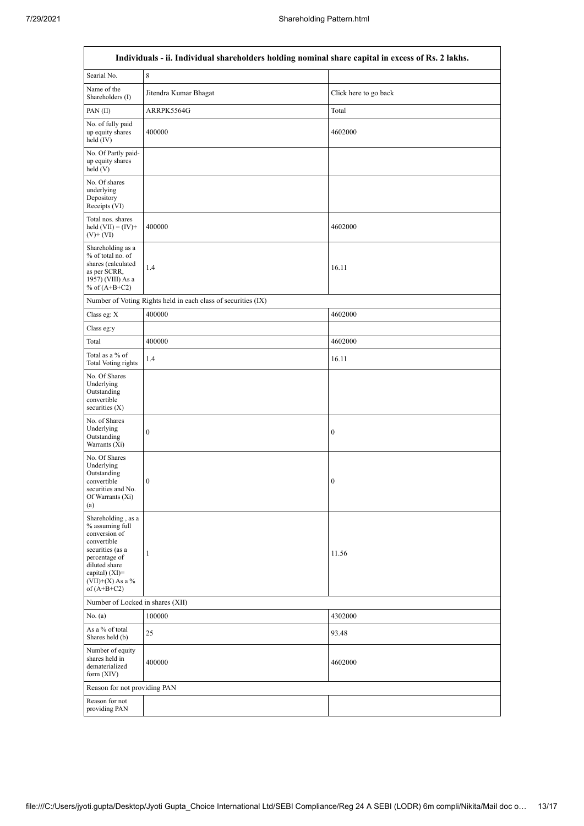$\overline{\phantom{a}}$ 

 $\overline{\mathsf{I}}$ 

| Individuals - ii. Individual shareholders holding nominal share capital in excess of Rs. 2 lakhs.                                                                                      |                       |                       |  |  |  |  |  |  |  |
|----------------------------------------------------------------------------------------------------------------------------------------------------------------------------------------|-----------------------|-----------------------|--|--|--|--|--|--|--|
| Searial No.                                                                                                                                                                            | $\,$ 8 $\,$           |                       |  |  |  |  |  |  |  |
| Name of the<br>Shareholders (I)                                                                                                                                                        | Jitendra Kumar Bhagat | Click here to go back |  |  |  |  |  |  |  |
| PAN(II)                                                                                                                                                                                | ARRPK5564G            | Total                 |  |  |  |  |  |  |  |
| No. of fully paid<br>up equity shares<br>held $(IV)$                                                                                                                                   | 400000                | 4602000               |  |  |  |  |  |  |  |
| No. Of Partly paid-<br>up equity shares<br>held(V)                                                                                                                                     |                       |                       |  |  |  |  |  |  |  |
| No. Of shares<br>underlying<br>Depository<br>Receipts (VI)                                                                                                                             |                       |                       |  |  |  |  |  |  |  |
| Total nos. shares<br>held $(VII) = (IV) +$<br>$(V)$ + $(VI)$                                                                                                                           | 400000                | 4602000               |  |  |  |  |  |  |  |
| Shareholding as a<br>% of total no. of<br>shares (calculated<br>as per SCRR,<br>1957) (VIII) As a<br>% of $(A+B+C2)$                                                                   | 1.4                   | 16.11                 |  |  |  |  |  |  |  |
| Number of Voting Rights held in each class of securities (IX)                                                                                                                          |                       |                       |  |  |  |  |  |  |  |
| Class eg: X                                                                                                                                                                            | 400000                | 4602000               |  |  |  |  |  |  |  |
| Class eg:y                                                                                                                                                                             |                       |                       |  |  |  |  |  |  |  |
| Total                                                                                                                                                                                  | 400000                | 4602000               |  |  |  |  |  |  |  |
| Total as a % of<br><b>Total Voting rights</b>                                                                                                                                          | 1.4                   | 16.11                 |  |  |  |  |  |  |  |
| No. Of Shares<br>Underlying<br>Outstanding<br>convertible<br>securities (X)                                                                                                            |                       |                       |  |  |  |  |  |  |  |
| No. of Shares<br>Underlying<br>Outstanding<br>Warrants (Xi)                                                                                                                            | $\boldsymbol{0}$      | $\boldsymbol{0}$      |  |  |  |  |  |  |  |
| No. Of Shares<br>Underlying<br>Outstanding<br>convertible<br>securities and No.<br>Of Warrants (Xi)<br>(a)                                                                             | $\boldsymbol{0}$      | $\boldsymbol{0}$      |  |  |  |  |  |  |  |
| Shareholding, as a<br>% assuming full<br>conversion of<br>convertible<br>securities (as a<br>percentage of<br>diluted share<br>capital) $(XI)=$<br>$(VII)+(X)$ As a %<br>of $(A+B+C2)$ | 1                     | 11.56                 |  |  |  |  |  |  |  |
| Number of Locked in shares (XII)                                                                                                                                                       |                       |                       |  |  |  |  |  |  |  |
| No. (a)                                                                                                                                                                                | 100000                | 4302000               |  |  |  |  |  |  |  |
| As a % of total<br>Shares held (b)                                                                                                                                                     | 25                    | 93.48                 |  |  |  |  |  |  |  |
| Number of equity<br>shares held in<br>dematerialized<br>form $(XIV)$                                                                                                                   | 400000                | 4602000               |  |  |  |  |  |  |  |
| Reason for not providing PAN                                                                                                                                                           |                       |                       |  |  |  |  |  |  |  |
| Reason for not<br>providing PAN                                                                                                                                                        |                       |                       |  |  |  |  |  |  |  |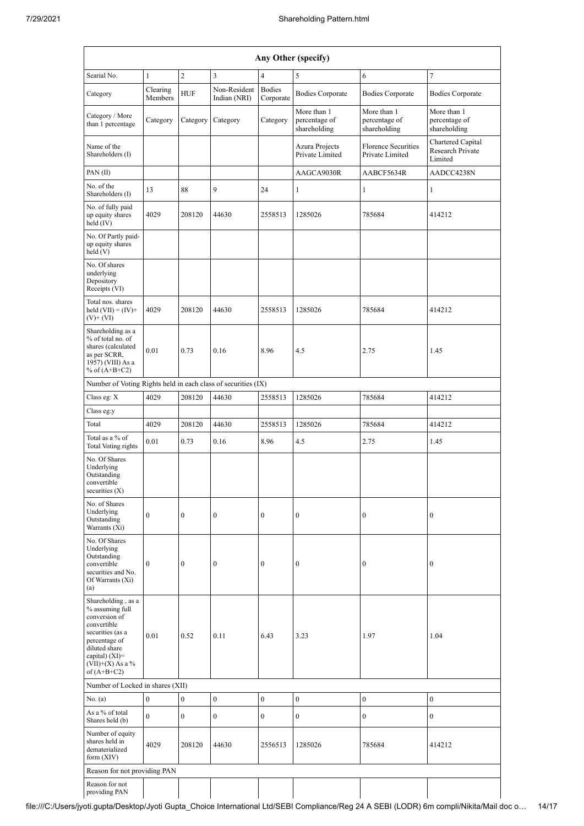| Any Other (specify)                                                                                                                                                                  |                     |                                                                |                              |                            |                                                                                    |                                              |                                                         |  |  |  |
|--------------------------------------------------------------------------------------------------------------------------------------------------------------------------------------|---------------------|----------------------------------------------------------------|------------------------------|----------------------------|------------------------------------------------------------------------------------|----------------------------------------------|---------------------------------------------------------|--|--|--|
| Searial No.                                                                                                                                                                          | $\mathbf{1}$        | $\sqrt{2}$<br>$\overline{\mathbf{3}}$<br>$\tau$<br>4<br>5<br>6 |                              |                            |                                                                                    |                                              |                                                         |  |  |  |
| Category                                                                                                                                                                             | Clearing<br>Members | <b>HUF</b>                                                     | Non-Resident<br>Indian (NRI) | <b>Bodies</b><br>Corporate | <b>Bodies Corporate</b>                                                            | <b>Bodies Corporate</b>                      | <b>Bodies Corporate</b>                                 |  |  |  |
| Category / More<br>than 1 percentage                                                                                                                                                 | Category            | Category                                                       | Category                     | Category                   | More than 1<br>percentage of<br>shareholding                                       | More than 1<br>percentage of<br>shareholding | More than 1<br>percentage of<br>shareholding            |  |  |  |
| Name of the<br>Shareholders (I)                                                                                                                                                      |                     |                                                                |                              |                            | <b>Florence Securities</b><br>Azura Projects<br>Private Limited<br>Private Limited |                                              | Chartered Capital<br><b>Research Private</b><br>Limited |  |  |  |
| PAN(II)                                                                                                                                                                              |                     |                                                                |                              |                            | AAGCA9030R<br>AABCF5634R                                                           |                                              | AADCC4238N                                              |  |  |  |
| No. of the<br>Shareholders (I)                                                                                                                                                       | 13                  | 88                                                             | 9                            | 24                         | 1                                                                                  | $\mathbf{1}$<br>1                            |                                                         |  |  |  |
| No. of fully paid<br>up equity shares<br>held (IV)                                                                                                                                   | 4029                | 208120                                                         | 44630                        | 2558513                    | 1285026                                                                            | 785684                                       |                                                         |  |  |  |
| No. Of Partly paid-<br>up equity shares<br>held(V)                                                                                                                                   |                     |                                                                |                              |                            |                                                                                    |                                              |                                                         |  |  |  |
| No. Of shares<br>underlying<br>Depository<br>Receipts (VI)                                                                                                                           |                     |                                                                |                              |                            |                                                                                    |                                              |                                                         |  |  |  |
| Total nos. shares<br>held $(VII) = (IV) +$<br>$(V)$ + $(VI)$                                                                                                                         | 4029                | 208120                                                         | 44630                        | 2558513                    | 1285026                                                                            | 785684                                       | 414212                                                  |  |  |  |
| Shareholding as a<br>% of total no. of<br>shares (calculated<br>as per SCRR,<br>1957) (VIII) As a<br>% of $(A+B+C2)$                                                                 | 0.01                | 0.73                                                           | 0.16                         | 8.96                       | 4.5                                                                                | 2.75                                         | 1.45                                                    |  |  |  |
| Number of Voting Rights held in each class of securities (IX)                                                                                                                        |                     |                                                                |                              |                            |                                                                                    |                                              |                                                         |  |  |  |
| Class eg: X                                                                                                                                                                          | 4029                | 208120                                                         | 44630                        | 2558513                    | 1285026                                                                            | 785684                                       | 414212                                                  |  |  |  |
| Class eg:y                                                                                                                                                                           |                     |                                                                |                              |                            |                                                                                    |                                              |                                                         |  |  |  |
| Total                                                                                                                                                                                | 4029                | 208120                                                         | 44630                        | 2558513                    | 1285026                                                                            | 785684                                       | 414212                                                  |  |  |  |
| Total as a % of<br>Total Voting rights                                                                                                                                               | 0.01                | 0.73                                                           | 0.16                         | 8.96                       | 4.5                                                                                | 2.75                                         | 1.45                                                    |  |  |  |
| No. Of Shares<br>Underlying<br>Outstanding<br>convertible<br>securities (X)                                                                                                          |                     |                                                                |                              |                            |                                                                                    |                                              |                                                         |  |  |  |
| No. of Shares<br>Underlying<br>Outstanding<br>Warrants (Xi)                                                                                                                          | $\boldsymbol{0}$    | $\boldsymbol{0}$                                               | $\boldsymbol{0}$             | $\boldsymbol{0}$           | $\boldsymbol{0}$                                                                   | $\boldsymbol{0}$                             | 0                                                       |  |  |  |
| No. Of Shares<br>Underlying<br>Outstanding<br>convertible<br>securities and No.<br>Of Warrants (Xi)<br>(a)                                                                           | $\mathbf{0}$        | $\mathbf{0}$                                                   | $\boldsymbol{0}$             | $\boldsymbol{0}$           | $\boldsymbol{0}$                                                                   | $\boldsymbol{0}$                             | $\boldsymbol{0}$                                        |  |  |  |
| Shareholding, as a<br>% assuming full<br>conversion of<br>convertible<br>securities (as a<br>percentage of<br>diluted share<br>capital) (XI)=<br>$(VII)+(X)$ As a %<br>of $(A+B+C2)$ | 0.01                | 0.52                                                           | 0.11                         | 6.43                       | 3.23                                                                               | 1.97                                         | 1.04                                                    |  |  |  |
| Number of Locked in shares (XII)                                                                                                                                                     |                     |                                                                |                              |                            |                                                                                    |                                              |                                                         |  |  |  |
| No. (a)                                                                                                                                                                              | $\bf{0}$            | $\boldsymbol{0}$                                               | $\boldsymbol{0}$             | $\boldsymbol{0}$           | $\boldsymbol{0}$                                                                   | $\mathbf{0}$                                 | $\boldsymbol{0}$                                        |  |  |  |
| As a % of total<br>Shares held (b)                                                                                                                                                   | $\mathbf{0}$        | $\mathbf{0}$                                                   | $\mathbf{0}$                 | $\boldsymbol{0}$           | $\boldsymbol{0}$                                                                   | $\boldsymbol{0}$                             | $\overline{0}$                                          |  |  |  |
| Number of equity<br>shares held in<br>dematerialized<br>form $(XIV)$                                                                                                                 | 4029                | 208120                                                         | 44630                        | 2556513                    | 1285026                                                                            | 785684                                       | 414212                                                  |  |  |  |
| Reason for not providing PAN                                                                                                                                                         |                     |                                                                |                              |                            |                                                                                    |                                              |                                                         |  |  |  |
| Reason for not<br>providing PAN                                                                                                                                                      |                     |                                                                |                              |                            |                                                                                    |                                              |                                                         |  |  |  |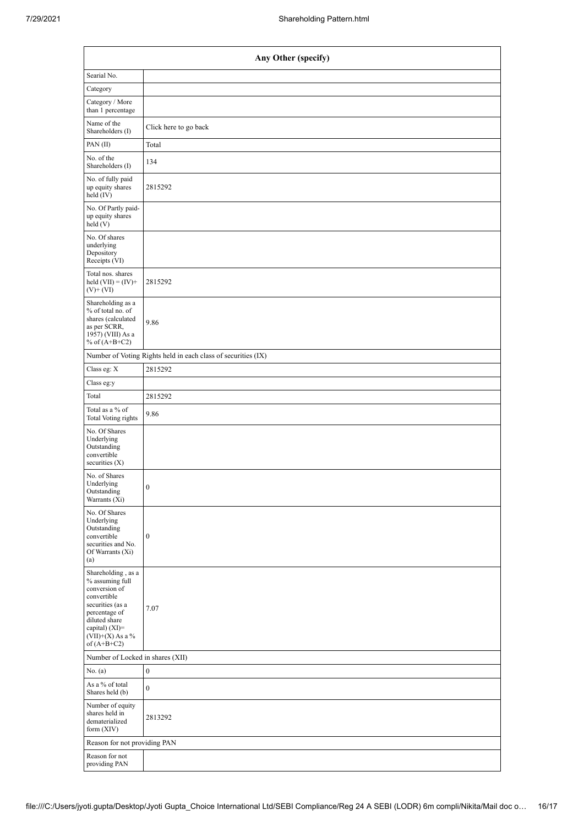| Any Other (specify)                                                                                                                                                                    |                                                               |  |  |  |  |  |  |  |
|----------------------------------------------------------------------------------------------------------------------------------------------------------------------------------------|---------------------------------------------------------------|--|--|--|--|--|--|--|
| Searial No.                                                                                                                                                                            |                                                               |  |  |  |  |  |  |  |
| Category                                                                                                                                                                               |                                                               |  |  |  |  |  |  |  |
| Category / More<br>than 1 percentage                                                                                                                                                   |                                                               |  |  |  |  |  |  |  |
| Name of the<br>Shareholders (I)                                                                                                                                                        | Click here to go back                                         |  |  |  |  |  |  |  |
| PAN $(II)$                                                                                                                                                                             | Total                                                         |  |  |  |  |  |  |  |
| No. of the<br>Shareholders (I)                                                                                                                                                         | 134                                                           |  |  |  |  |  |  |  |
| No. of fully paid<br>up equity shares<br>held (IV)                                                                                                                                     | 2815292                                                       |  |  |  |  |  |  |  |
| No. Of Partly paid-<br>up equity shares<br>held(V)                                                                                                                                     |                                                               |  |  |  |  |  |  |  |
| No. Of shares<br>underlying<br>Depository<br>Receipts (VI)                                                                                                                             |                                                               |  |  |  |  |  |  |  |
| Total nos. shares<br>held $(VII) = (IV) +$<br>$(V)$ + $(VI)$                                                                                                                           | 2815292                                                       |  |  |  |  |  |  |  |
| Shareholding as a<br>% of total no. of<br>shares (calculated<br>as per SCRR,<br>1957) (VIII) As a<br>% of $(A+B+C2)$                                                                   | 9.86                                                          |  |  |  |  |  |  |  |
|                                                                                                                                                                                        | Number of Voting Rights held in each class of securities (IX) |  |  |  |  |  |  |  |
| Class eg: $\mathbf X$                                                                                                                                                                  | 2815292                                                       |  |  |  |  |  |  |  |
| Class eg:y                                                                                                                                                                             |                                                               |  |  |  |  |  |  |  |
| Total                                                                                                                                                                                  | 2815292                                                       |  |  |  |  |  |  |  |
| Total as a % of<br>Total Voting rights                                                                                                                                                 | 9.86                                                          |  |  |  |  |  |  |  |
| No. Of Shares<br>Underlying<br>Outstanding<br>convertible<br>securities $(X)$                                                                                                          |                                                               |  |  |  |  |  |  |  |
| No. of Shares<br>Underlying<br>Outstanding<br>Warrants (Xi)                                                                                                                            | $\boldsymbol{0}$                                              |  |  |  |  |  |  |  |
| No. Of Shares<br>Underlying<br>Outstanding<br>convertible<br>securities and No.<br>Of Warrants (Xi)<br>(a)                                                                             | $\boldsymbol{0}$                                              |  |  |  |  |  |  |  |
| Shareholding, as a<br>% assuming full<br>conversion of<br>convertible<br>securities (as a<br>percentage of<br>diluted share<br>capital) $(XI)=$<br>$(VII)+(X)$ As a %<br>of $(A+B+C2)$ | 7.07                                                          |  |  |  |  |  |  |  |
| Number of Locked in shares (XII)                                                                                                                                                       |                                                               |  |  |  |  |  |  |  |
| No. (a)                                                                                                                                                                                | $\boldsymbol{0}$                                              |  |  |  |  |  |  |  |
| As a % of total<br>Shares held (b)                                                                                                                                                     | $\bf{0}$                                                      |  |  |  |  |  |  |  |
| Number of equity<br>shares held in<br>dematerialized<br>form $(XIV)$                                                                                                                   | 2813292                                                       |  |  |  |  |  |  |  |
| Reason for not providing PAN                                                                                                                                                           |                                                               |  |  |  |  |  |  |  |
| Reason for not<br>providing PAN                                                                                                                                                        |                                                               |  |  |  |  |  |  |  |